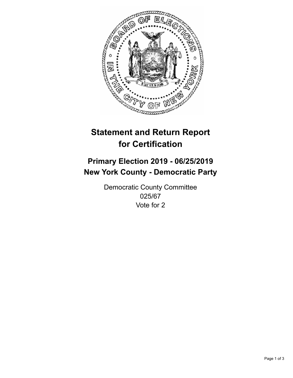

## **Statement and Return Report for Certification**

## **Primary Election 2019 - 06/25/2019 New York County - Democratic Party**

Democratic County Committee 025/67 Vote for 2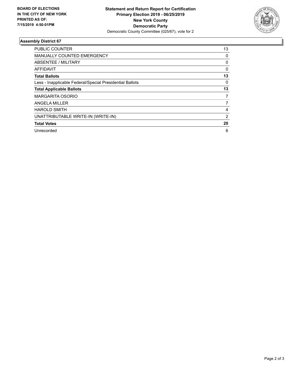

## **Assembly District 67**

| <b>PUBLIC COUNTER</b>                                    | 13             |
|----------------------------------------------------------|----------------|
| MANUALLY COUNTED EMERGENCY                               | 0              |
| ABSENTEE / MILITARY                                      | 0              |
| AFFIDAVIT                                                | $\Omega$       |
| <b>Total Ballots</b>                                     | 13             |
| Less - Inapplicable Federal/Special Presidential Ballots | 0              |
| <b>Total Applicable Ballots</b>                          | 13             |
| <b>MARGARITA OSORIO</b>                                  | 7              |
| ANGELA MILLER                                            | 7              |
| <b>HAROLD SMITH</b>                                      | 4              |
| UNATTRIBUTABLE WRITE-IN (WRITE-IN)                       | $\overline{2}$ |
| <b>Total Votes</b>                                       | 20             |
| Unrecorded                                               | 6              |